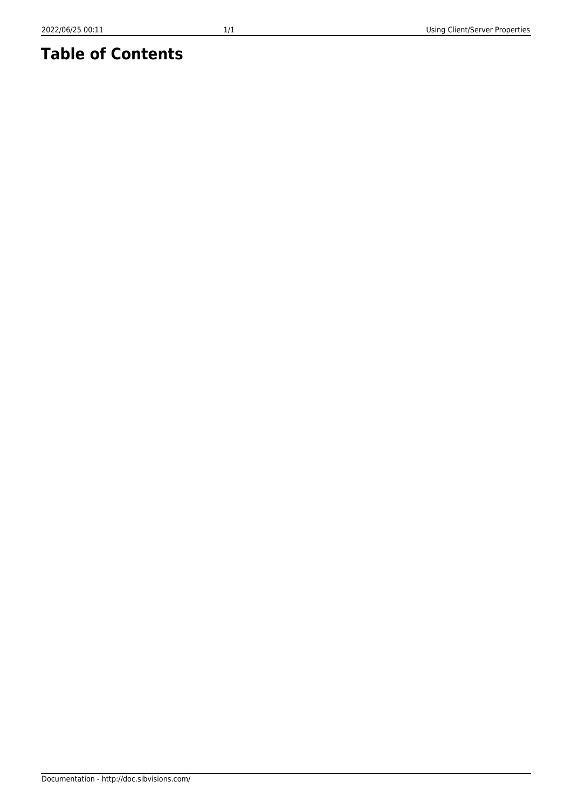## **Table of Contents**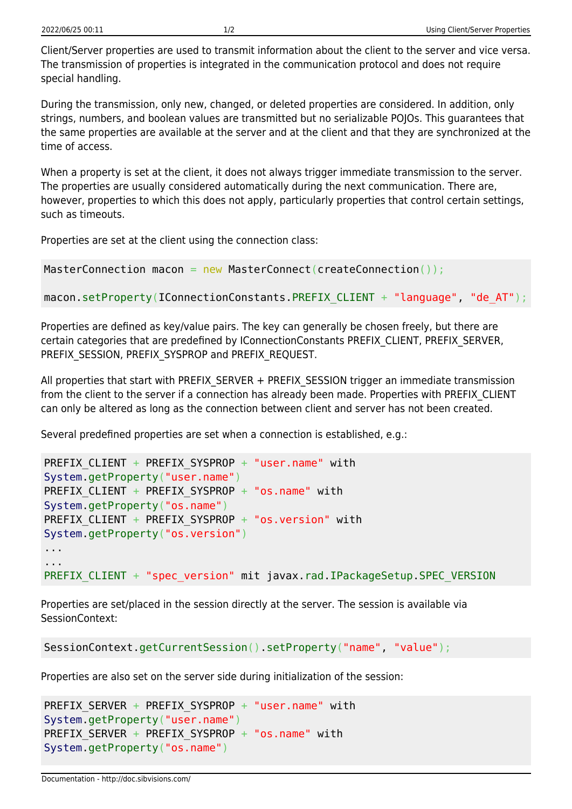Client/Server properties are used to transmit information about the client to the server and vice versa. The transmission of properties is integrated in the communication protocol and does not require special handling.

During the transmission, only new, changed, or deleted properties are considered. In addition, only strings, numbers, and boolean values are transmitted but no serializable POJOs. This guarantees that the same properties are available at the server and at the client and that they are synchronized at the time of access.

When a property is set at the client, it does not always trigger immediate transmission to the server. The properties are usually considered automatically during the next communication. There are, however, properties to which this does not apply, particularly properties that control certain settings, such as timeouts.

Properties are set at the client using the connection class:

```
MasterConnection macon = new MasterConnect(createConnection());
```
macon.setProperty(IConnectionConstants.PREFIX CLIENT + "language", "de AT");

Properties are defined as key/value pairs. The key can generally be chosen freely, but there are certain categories that are predefined by IConnectionConstants PREFIX\_CLIENT, PREFIX\_SERVER, PREFIX\_SESSION, PREFIX\_SYSPROP and PREFIX\_REQUEST.

All properties that start with PREFIX\_SERVER + PREFIX\_SESSION trigger an immediate transmission from the client to the server if a connection has already been made. Properties with PREFIX\_CLIENT can only be altered as long as the connection between client and server has not been created.

Several predefined properties are set when a connection is established, e.g.:

```
PREFIX CLIENT + PREFIX SYSPROP + "user.name" with
System.getProperty("user.name")
PREFIX CLIENT + PREFIX SYSPROP + "os.name" with
System.getProperty("os.name")
PREFIX CLIENT + PREFIX SYSPROP + "os.version" with
System.getProperty("os.version")
...
...
PREFIX CLIENT + "spec_version" mit javax.rad.IPackageSetup.SPEC_VERSION
```
Properties are set/placed in the session directly at the server. The session is available via SessionContext:

```
SessionContext.getCurrentSession().setProperty("name", "value");
```
Properties are also set on the server side during initialization of the session:

```
PREFIX SERVER + PREFIX SYSPROP + "user.name" with
System.getProperty("user.name")
PREFIX SERVER + PREFIX SYSPROP + "os.name" with
System.getProperty("os.name")
```
Documentation - http://doc.sibvisions.com/